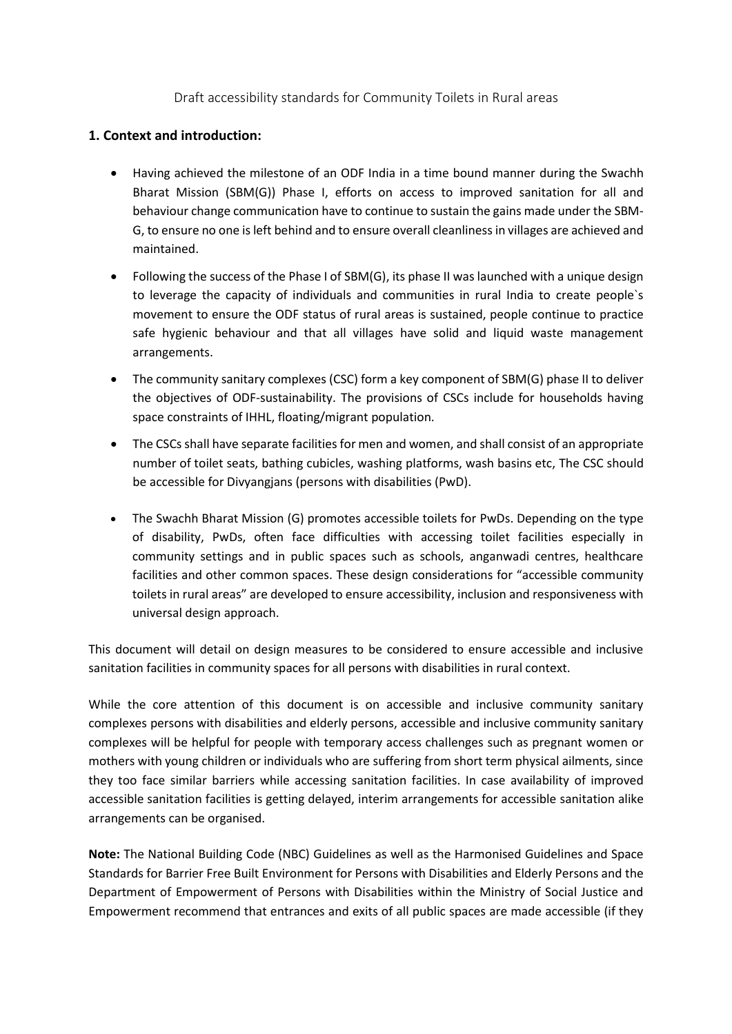Draft accessibility standards for Community Toilets in Rural areas

# **1. Context and introduction:**

- Having achieved the milestone of an ODF India in a time bound manner during the Swachh Bharat Mission (SBM(G)) Phase I, efforts on access to improved sanitation for all and behaviour change communication have to continue to sustain the gains made under the SBM-G, to ensure no one is left behind and to ensure overall cleanlinessin villages are achieved and maintained.
- Following the success of the Phase I of SBM(G), its phase II was launched with a unique design to leverage the capacity of individuals and communities in rural India to create people`s movement to ensure the ODF status of rural areas is sustained, people continue to practice safe hygienic behaviour and that all villages have solid and liquid waste management arrangements.
- The community sanitary complexes (CSC) form a key component of SBM(G) phase II to deliver the objectives of ODF-sustainability. The provisions of CSCs include for households having space constraints of IHHL, floating/migrant population.
- The CSCs shall have separate facilities for men and women, and shall consist of an appropriate number of toilet seats, bathing cubicles, washing platforms, wash basins etc, The CSC should be accessible for Divyangjans (persons with disabilities (PwD).
- The Swachh Bharat Mission (G) promotes accessible toilets for PwDs. Depending on the type of disability, PwDs, often face difficulties with accessing toilet facilities especially in community settings and in public spaces such as schools, anganwadi centres, healthcare facilities and other common spaces. These design considerations for "accessible community toilets in rural areas" are developed to ensure accessibility, inclusion and responsiveness with universal design approach.

This document will detail on design measures to be considered to ensure accessible and inclusive sanitation facilities in community spaces for all persons with disabilities in rural context.

While the core attention of this document is on accessible and inclusive community sanitary complexes persons with disabilities and elderly persons, accessible and inclusive community sanitary complexes will be helpful for people with temporary access challenges such as pregnant women or mothers with young children or individuals who are suffering from short term physical ailments, since they too face similar barriers while accessing sanitation facilities. In case availability of improved accessible sanitation facilities is getting delayed, interim arrangements for accessible sanitation alike arrangements can be organised.

**Note:** The National Building Code (NBC) Guidelines as well as the Harmonised Guidelines and Space Standards for Barrier Free Built Environment for Persons with Disabilities and Elderly Persons and the Department of Empowerment of Persons with Disabilities within the Ministry of Social Justice and Empowerment recommend that entrances and exits of all public spaces are made accessible (if they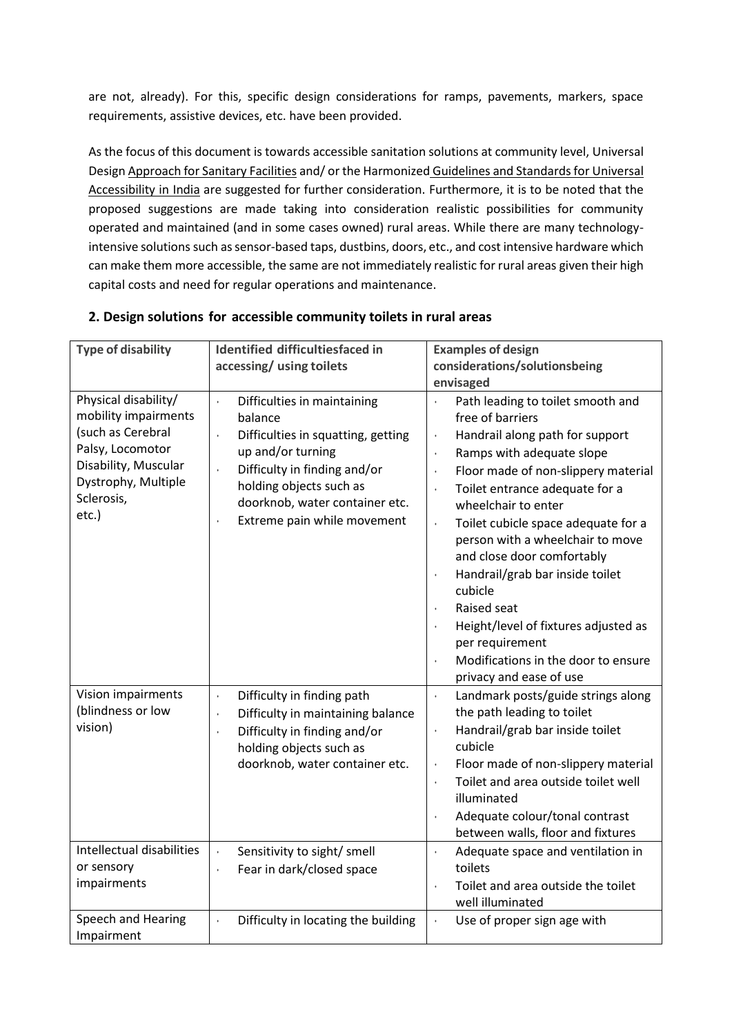are not, already). For this, specific design considerations for ramps, pavements, markers, space requirements, assistive devices, etc. have been provided.

As the focus of this document is towards accessible sanitation solutions at community level, [Universal](https://universaldesign.ie/Built-Environment/Building-for-Everyone/5-Sanitary-Facilities.pdf)  [Design Approach for Sanitary Facilities](https://universaldesign.ie/Built-Environment/Building-for-Everyone/5-Sanitary-Facilities.pdf) and/ or the Harmonized [Guidelines and Standards for Universal](https://cpwd.gov.in/Publication/HG2021_MOHUAN.pdf)  [Accessibility in India](https://cpwd.gov.in/Publication/HG2021_MOHUAN.pdf) are suggested for further consideration. Furthermore, it is to be noted that the proposed suggestions are made taking into consideration realistic possibilities for community operated and maintained (and in some cases owned) rural areas. While there are many technologyintensive solutions such as sensor-based taps, dustbins, doors, etc., and cost intensive hardware which can make them more accessible, the same are not immediately realistic for rural areas given their high capital costs and need for regular operations and maintenance.

| <b>Type of disability</b>                                                                                                                                   | <b>Identified difficultiesfaced in</b><br>accessing/ using toilets                                                                                                                                                                                                                           | <b>Examples of design</b><br>considerations/solutionsbeing<br>envisaged                                                                                                                                                                                                                                                                                                                                                                                                                                                                                                                                                                       |
|-------------------------------------------------------------------------------------------------------------------------------------------------------------|----------------------------------------------------------------------------------------------------------------------------------------------------------------------------------------------------------------------------------------------------------------------------------------------|-----------------------------------------------------------------------------------------------------------------------------------------------------------------------------------------------------------------------------------------------------------------------------------------------------------------------------------------------------------------------------------------------------------------------------------------------------------------------------------------------------------------------------------------------------------------------------------------------------------------------------------------------|
| Physical disability/<br>mobility impairments<br>(such as Cerebral<br>Palsy, Locomotor<br>Disability, Muscular<br>Dystrophy, Multiple<br>Sclerosis,<br>etc.) | Difficulties in maintaining<br>$\bullet$<br>balance<br>Difficulties in squatting, getting<br>$\ddot{\phantom{0}}$<br>up and/or turning<br>Difficulty in finding and/or<br>$\bullet$<br>holding objects such as<br>doorknob, water container etc.<br>Extreme pain while movement<br>$\bullet$ | Path leading to toilet smooth and<br>$\bullet$<br>free of barriers<br>Handrail along path for support<br>$\bullet$<br>Ramps with adequate slope<br>$\bullet$<br>Floor made of non-slippery material<br>$\bullet$<br>Toilet entrance adequate for a<br>$\bullet$<br>wheelchair to enter<br>Toilet cubicle space adequate for a<br>$\bullet$<br>person with a wheelchair to move<br>and close door comfortably<br>Handrail/grab bar inside toilet<br>$\bullet$<br>cubicle<br>Raised seat<br>$\bullet$<br>Height/level of fixtures adjusted as<br>per requirement<br>Modifications in the door to ensure<br>$\bullet$<br>privacy and ease of use |
| Vision impairments<br>(blindness or low<br>vision)                                                                                                          | Difficulty in finding path<br>$\bullet$<br>Difficulty in maintaining balance<br>$\bullet$<br>Difficulty in finding and/or<br>$\ddot{\phantom{0}}$<br>holding objects such as<br>doorknob, water container etc.                                                                               | Landmark posts/guide strings along<br>$\bullet$<br>the path leading to toilet<br>Handrail/grab bar inside toilet<br>$\bullet$<br>cubicle<br>Floor made of non-slippery material<br>$\bullet$<br>Toilet and area outside toilet well<br>$\bullet$<br>illuminated<br>Adequate colour/tonal contrast<br>$\bullet$<br>between walls, floor and fixtures                                                                                                                                                                                                                                                                                           |
| Intellectual disabilities<br>or sensory<br>impairments                                                                                                      | Sensitivity to sight/ smell<br>ł,<br>Fear in dark/closed space<br>$\ddot{\phantom{0}}$                                                                                                                                                                                                       | Adequate space and ventilation in<br>$\bullet$<br>toilets<br>Toilet and area outside the toilet<br>$\ddot{\phantom{0}}$<br>well illuminated                                                                                                                                                                                                                                                                                                                                                                                                                                                                                                   |
| Speech and Hearing<br>Impairment                                                                                                                            | Difficulty in locating the building<br>$\ddot{\phantom{0}}$                                                                                                                                                                                                                                  | Use of proper sign age with<br>$\bullet$                                                                                                                                                                                                                                                                                                                                                                                                                                                                                                                                                                                                      |

# **2. Design solutions for accessible community toilets in rural areas**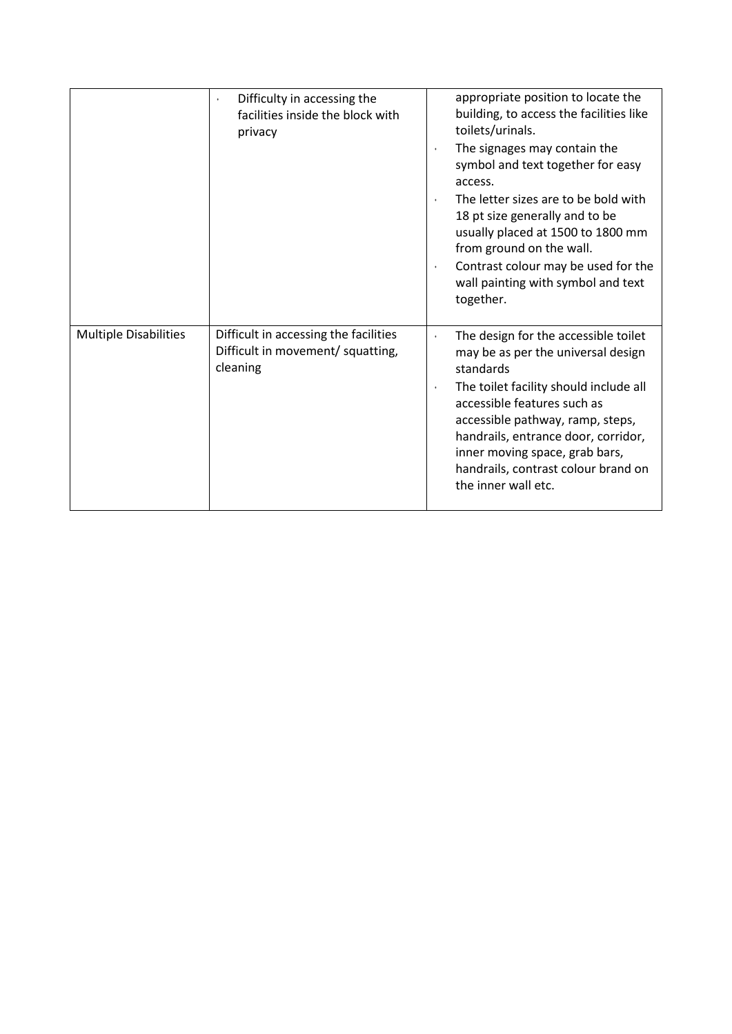|                              | Difficulty in accessing the<br>$\bullet$<br>facilities inside the block with<br>privacy | appropriate position to locate the<br>building, to access the facilities like<br>toilets/urinals.<br>The signages may contain the<br>$\bullet$<br>symbol and text together for easy<br>access.<br>The letter sizes are to be bold with<br>$\bullet$<br>18 pt size generally and to be<br>usually placed at 1500 to 1800 mm<br>from ground on the wall.<br>Contrast colour may be used for the<br>$\bullet$<br>wall painting with symbol and text<br>together. |
|------------------------------|-----------------------------------------------------------------------------------------|---------------------------------------------------------------------------------------------------------------------------------------------------------------------------------------------------------------------------------------------------------------------------------------------------------------------------------------------------------------------------------------------------------------------------------------------------------------|
| <b>Multiple Disabilities</b> | Difficult in accessing the facilities<br>Difficult in movement/ squatting,<br>cleaning  | The design for the accessible toilet<br>$\bullet$<br>may be as per the universal design<br>standards<br>The toilet facility should include all<br>$\bullet$<br>accessible features such as<br>accessible pathway, ramp, steps,<br>handrails, entrance door, corridor,<br>inner moving space, grab bars,<br>handrails, contrast colour brand on<br>the inner wall etc.                                                                                         |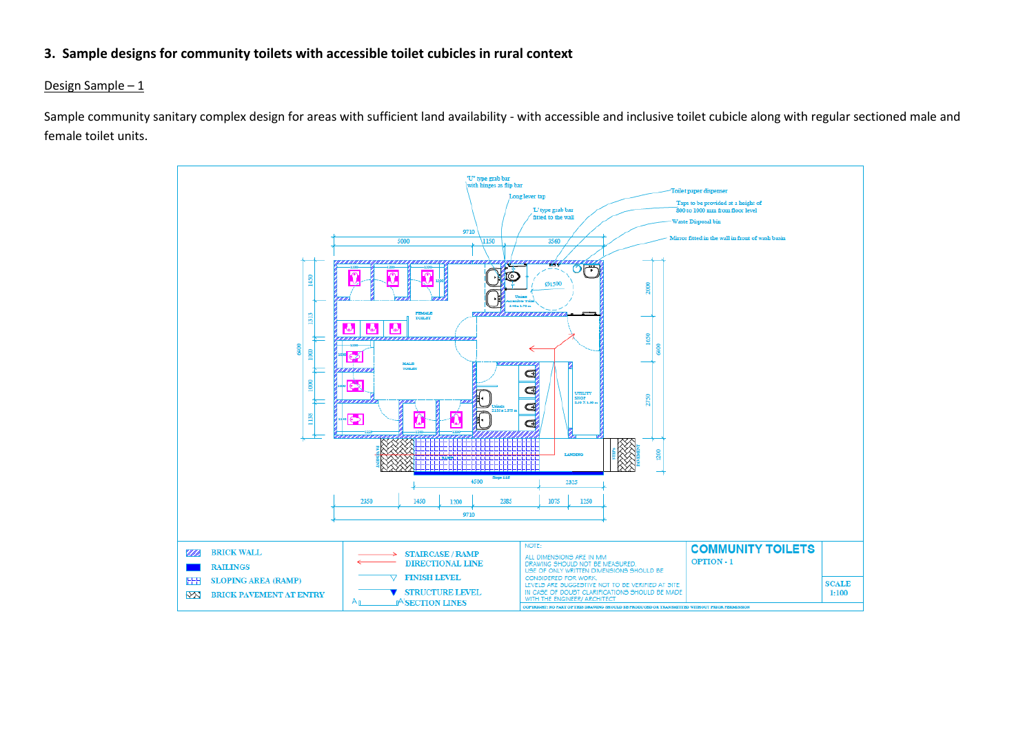## **3. Sample designs for community toilets with accessible toilet cubicles in rural context**

### Design Sample – 1

Sample community sanitary complex design for areas with sufficient land availability - with accessible and inclusive toilet cubicle along with regular sectioned male and female toilet units.

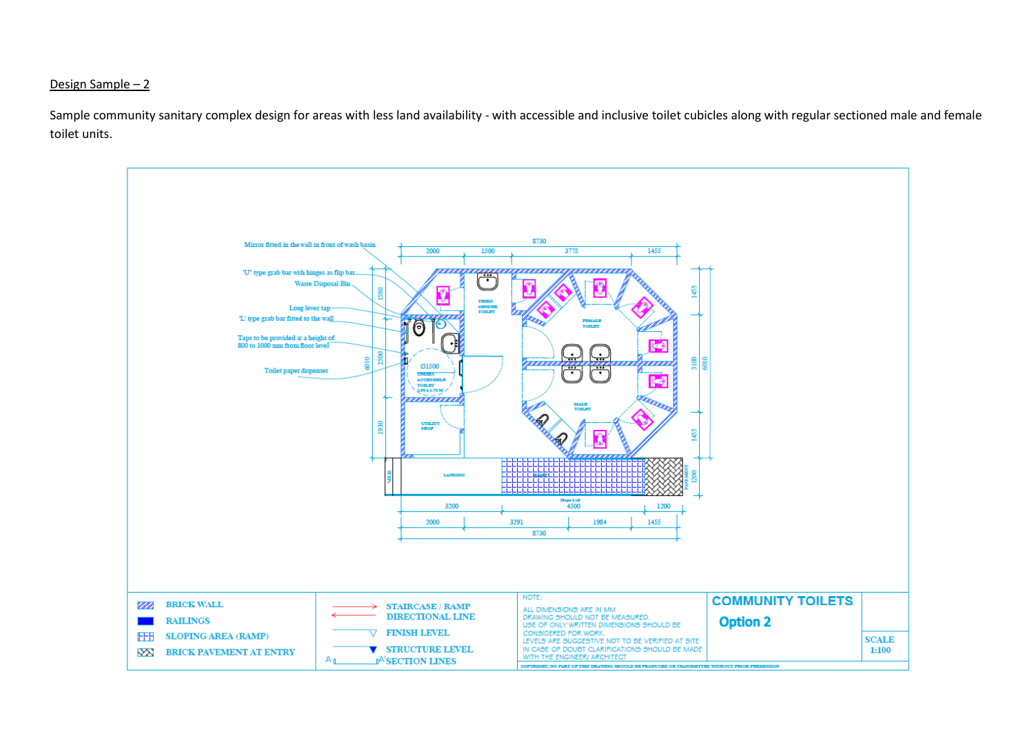### Design Sample – 2

Sample community sanitary complex design for areas with less land availability - with accessible and inclusive toilet cubicles along with regular sectioned male and female toilet units.

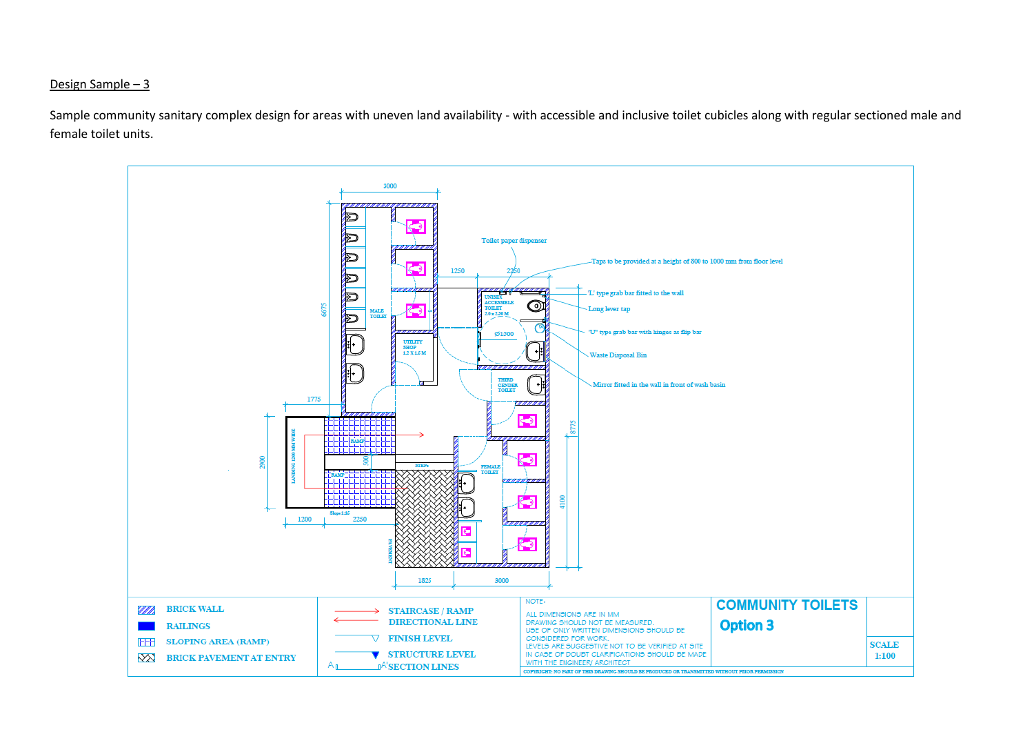### Design Sample – 3

Sample community sanitary complex design for areas with uneven land availability - with accessible and inclusive toilet cubicles along with regular sectioned male and female toilet units.

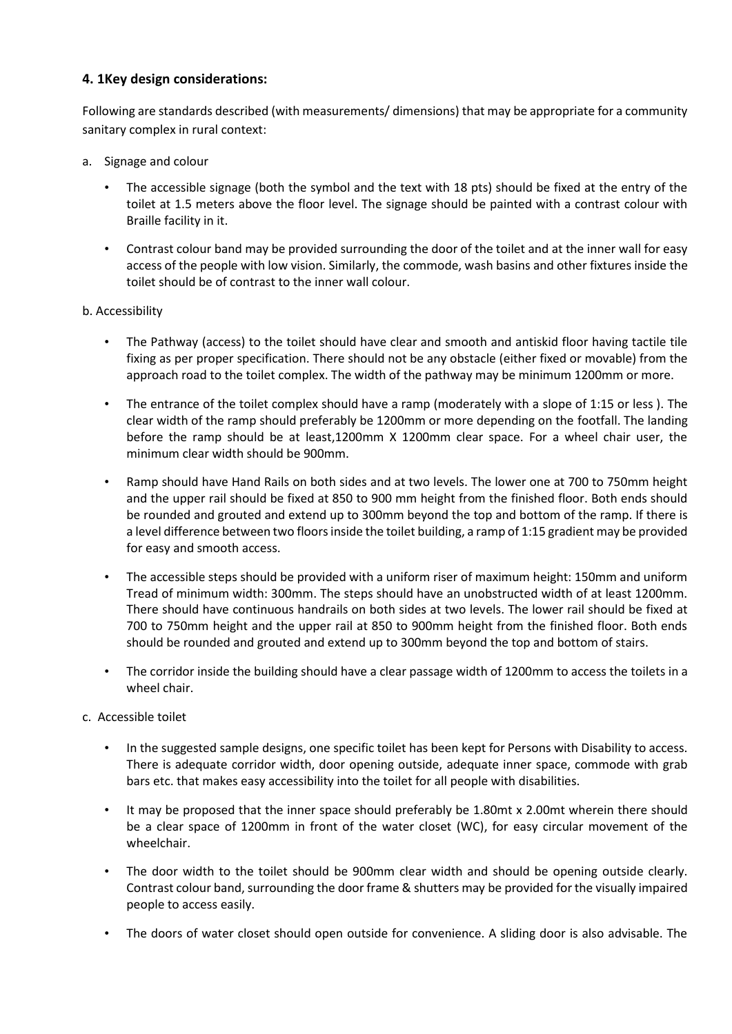# **4. 1Key design considerations:**

Following are standards described (with measurements/ dimensions) that may be appropriate for a community sanitary complex in rural context:

- a. Signage and colour
	- The accessible signage (both the symbol and the text with 18 pts) should be fixed at the entry of the toilet at 1.5 meters above the floor level. The signage should be painted with a contrast colour with Braille facility in it.
	- Contrast colour band may be provided surrounding the door of the toilet and at the inner wall for easy access of the people with low vision. Similarly, the commode, wash basins and other fixtures inside the toilet should be of contrast to the inner wall colour.

### b. Accessibility

- The Pathway (access) to the toilet should have clear and smooth and antiskid floor having tactile tile fixing as per proper specification. There should not be any obstacle (either fixed or movable) from the approach road to the toilet complex. The width of the pathway may be minimum 1200mm or more.
- The entrance of the toilet complex should have a ramp (moderately with a slope of 1:15 or less ). The clear width of the ramp should preferably be 1200mm or more depending on the footfall. The landing before the ramp should be at least,1200mm X 1200mm clear space. For a wheel chair user, the minimum clear width should be 900mm.
- Ramp should have Hand Rails on both sides and at two levels. The lower one at 700 to 750mm height and the upper rail should be fixed at 850 to 900 mm height from the finished floor. Both ends should be rounded and grouted and extend up to 300mm beyond the top and bottom of the ramp. If there is a level difference between two floors inside the toilet building, a ramp of 1:15 gradient may be provided for easy and smooth access.
- The accessible steps should be provided with a uniform riser of maximum height: 150mm and uniform Tread of minimum width: 300mm. The steps should have an unobstructed width of at least 1200mm. There should have continuous handrails on both sides at two levels. The lower rail should be fixed at 700 to 750mm height and the upper rail at 850 to 900mm height from the finished floor. Both ends should be rounded and grouted and extend up to 300mm beyond the top and bottom of stairs.
- The corridor inside the building should have a clear passage width of 1200mm to access the toilets in a wheel chair.
- c. Accessible toilet
	- In the suggested sample designs, one specific toilet has been kept for Persons with Disability to access. There is adequate corridor width, door opening outside, adequate inner space, commode with grab bars etc. that makes easy accessibility into the toilet for all people with disabilities.
	- It may be proposed that the inner space should preferably be 1.80mt x 2.00mt wherein there should be a clear space of 1200mm in front of the water closet (WC), for easy circular movement of the wheelchair.
	- The door width to the toilet should be 900mm clear width and should be opening outside clearly. Contrast colour band, surrounding the door frame & shutters may be provided for the visually impaired people to access easily.
	- The doors of water closet should open outside for convenience. A sliding door is also advisable. The